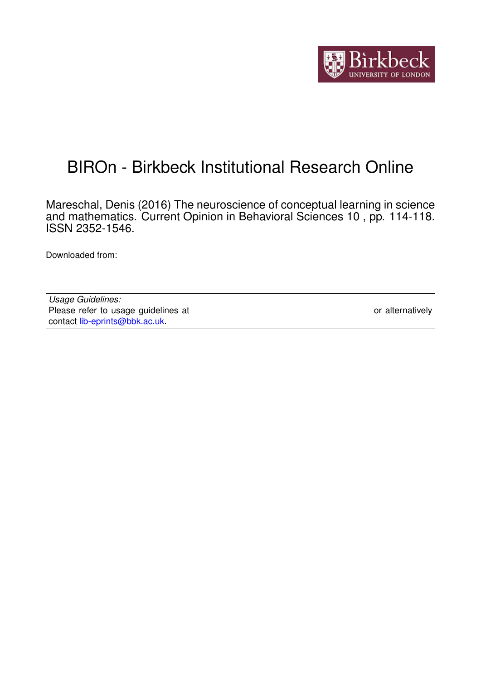

# BIROn - Birkbeck Institutional Research Online

Mareschal, Denis (2016) The neuroscience of conceptual learning in science and mathematics. Current Opinion in Behavioral Sciences 10 , pp. 114-118. ISSN 2352-1546.

Downloaded from: <https://eprints.bbk.ac.uk/id/eprint/15634/>

*Usage Guidelines:* Please refer to usage guidelines at <https://eprints.bbk.ac.uk/policies.html> or alternatively contact [lib-eprints@bbk.ac.uk.](mailto:lib-eprints@bbk.ac.uk)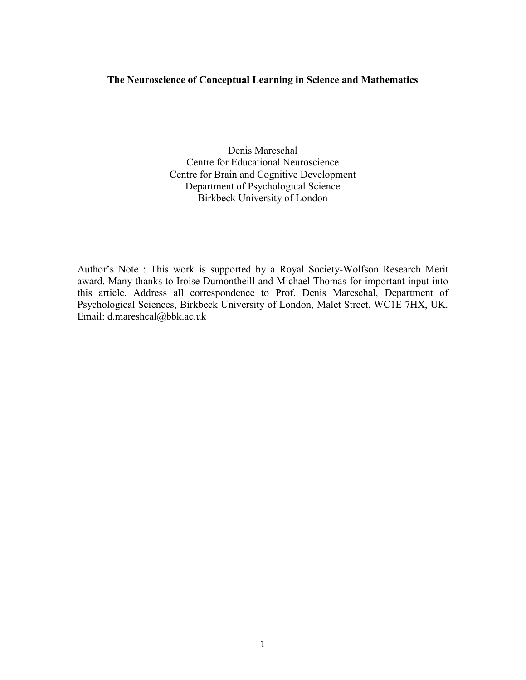# **The Neuroscience of Conceptual Learning in Science and Mathematics**

Denis Mareschal Centre for Educational Neuroscience Centre for Brain and Cognitive Development Department of Psychological Science Birkbeck University of London

Author's Note : This work is supported by a Royal Society-Wolfson Research Merit award. Many thanks to Iroise Dumontheill and Michael Thomas for important input into this article. Address all correspondence to Prof. Denis Mareschal, Department of Psychological Sciences, Birkbeck University of London, Malet Street, WC1E 7HX, UK. Email: d.mareshcal@bbk.ac.uk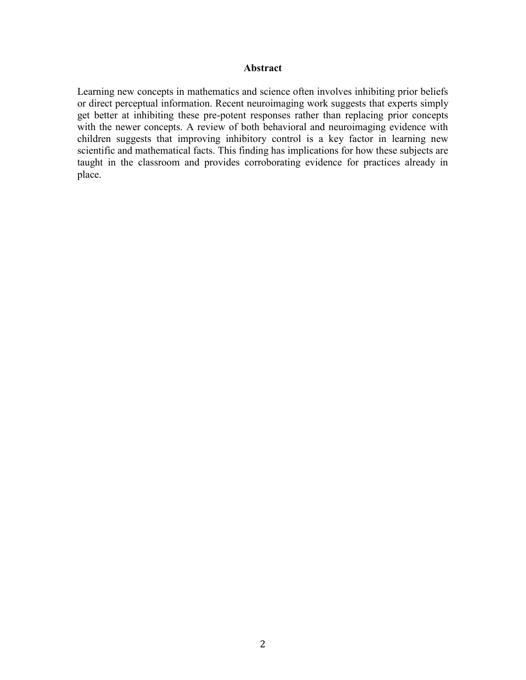# **Abstract**

Learning new concepts in mathematics and science often involves inhibiting prior beliefs or direct perceptual information. Recent neuroimaging work suggests that experts simply get better at inhibiting these pre-potent responses rather than replacing prior concepts with the newer concepts. A review of both behavioral and neuroimaging evidence with children suggests that improving inhibitory control is a key factor in learning new scientific and mathematical facts. This finding has implications for how these subjects are taught in the classroom and provides corroborating evidence for practices already in place.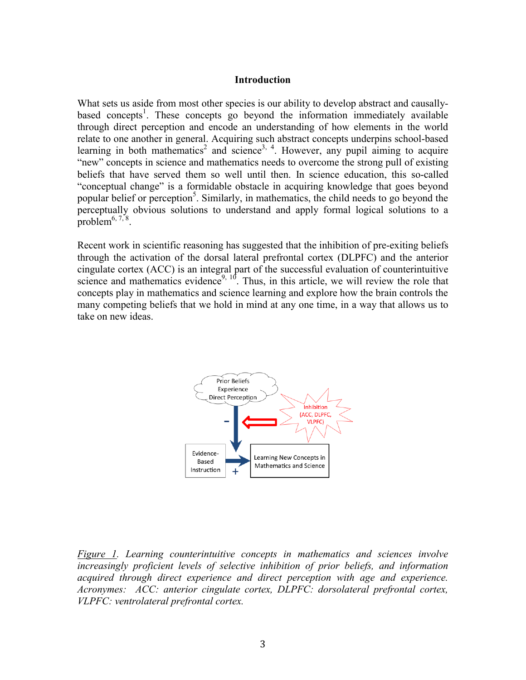### **Introduction**

What sets us aside from most other species is our ability to develop abstract and causallybased concepts<sup>1</sup>. These concepts go beyond the information immediately available through direct perception and encode an understanding of how elements in the world relate to one another in general. Acquiring such abstract concepts underpins school-based learning in both mathematics<sup>2</sup> and science<sup>3, 4</sup>. However, any pupil aiming to acquire "new" concepts in science and mathematics needs to overcome the strong pull of existing beliefs that have served them so well until then. In science education, this so-called "conceptual change" is a formidable obstacle in acquiring knowledge that goes beyond popular belief or perception<sup>5</sup>. Similarly, in mathematics, the child needs to go beyond the perceptually obvious solutions to understand and apply formal logical solutions to a problem $^{6, 7, 8}$ .

Recent work in scientific reasoning has suggested that the inhibition of pre-exiting beliefs through the activation of the dorsal lateral prefrontal cortex (DLPFC) and the anterior cingulate cortex (ACC) is an integral part of the successful evaluation of counterintuitive science and mathematics evidence<sup>9, 10</sup>. Thus, in this article, we will review the role that concepts play in mathematics and science learning and explore how the brain controls the many competing beliefs that we hold in mind at any one time, in a way that allows us to take on new ideas.



*Figure 1. Learning counterintuitive concepts in mathematics and sciences involve increasingly proficient levels of selective inhibition of prior beliefs, and information acquired through direct experience and direct perception with age and experience. Acronymes: ACC: anterior cingulate cortex, DLPFC: dorsolateral prefrontal cortex, VLPFC: ventrolateral prefrontal cortex.*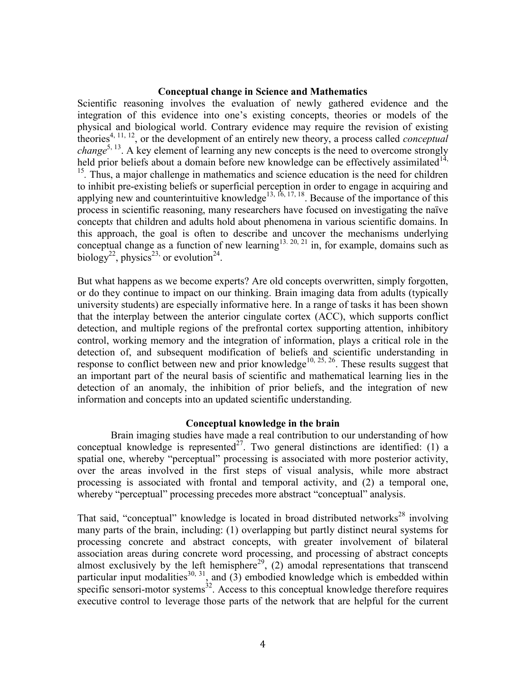## **Conceptual change in Science and Mathematics**

Scientific reasoning involves the evaluation of newly gathered evidence and the integration of this evidence into one's existing concepts, theories or models of the physical and biological world. Contrary evidence may require the revision of existing theories4, 11, 12, or the development of an entirely new theory, a process called *conceptual*  change<sup>5, 13</sup>. A key element of learning any new concepts is the need to overcome strongly held prior beliefs about a domain before new knowledge can be effectively assimilated<sup>14,</sup> <sup>15</sup>. Thus, a major challenge in mathematics and science education is the need for children to inhibit pre-existing beliefs or superficial perception in order to engage in acquiring and applying new and counterintuitive knowledge<sup>13, 16, 17, 18</sup>. Because of the importance of this process in scientific reasoning, many researchers have focused on investigating the naïve concept*s* that children and adults hold about phenomena in various scientific domains. In this approach, the goal is often to describe and uncover the mechanisms underlying conceptual change as a function of new learning<sup>13, 20, 21</sup> in, for example, domains such as biology<sup>22</sup>, physics<sup>23,</sup> or evolution<sup>24</sup>.

But what happens as we become experts? Are old concepts overwritten, simply forgotten, or do they continue to impact on our thinking. Brain imaging data from adults (typically university students) are especially informative here. In a range of tasks it has been shown that the interplay between the anterior cingulate cortex (ACC), which supports conflict detection, and multiple regions of the prefrontal cortex supporting attention, inhibitory control, working memory and the integration of information, plays a critical role in the detection of, and subsequent modification of beliefs and scientific understanding in response to conflict between new and prior knowledge<sup>10, 25, 26</sup>. These results suggest that an important part of the neural basis of scientific and mathematical learning lies in the detection of an anomaly, the inhibition of prior beliefs, and the integration of new information and concepts into an updated scientific understanding.

#### **Conceptual knowledge in the brain**

Brain imaging studies have made a real contribution to our understanding of how conceptual knowledge is represented<sup>27</sup>. Two general distinctions are identified: (1) a spatial one, whereby "perceptual" processing is associated with more posterior activity, over the areas involved in the first steps of visual analysis, while more abstract processing is associated with frontal and temporal activity, and (2) a temporal one, whereby "perceptual" processing precedes more abstract "conceptual" analysis.

That said, "conceptual" knowledge is located in broad distributed networks<sup>28</sup> involving many parts of the brain, including: (1) overlapping but partly distinct neural systems for processing concrete and abstract concepts, with greater involvement of bilateral association areas during concrete word processing, and processing of abstract concepts almost exclusively by the left hemisphere<sup>29</sup>, (2) amodal representations that transcend particular input modalities<sup>30, 31</sup>, and  $(3)$  embodied knowledge which is embedded within specific sensori-motor systems $32$ . Access to this conceptual knowledge therefore requires executive control to leverage those parts of the network that are helpful for the current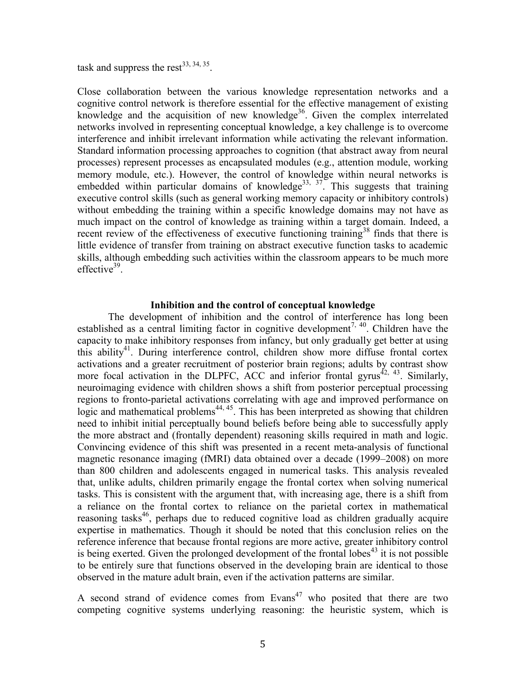task and suppress the rest<sup>33, 34, 35</sup>.

Close collaboration between the various knowledge representation networks and a cognitive control network is therefore essential for the effective management of existing knowledge and the acquisition of new knowledge<sup>36</sup>. Given the complex interrelated networks involved in representing conceptual knowledge, a key challenge is to overcome interference and inhibit irrelevant information while activating the relevant information. Standard information processing approaches to cognition (that abstract away from neural processes) represent processes as encapsulated modules (e.g., attention module, working memory module, etc.). However, the control of knowledge within neural networks is embedded within particular domains of knowledge<sup>33, 37</sup>. This suggests that training executive control skills (such as general working memory capacity or inhibitory controls) without embedding the training within a specific knowledge domains may not have as much impact on the control of knowledge as training within a target domain. Indeed, a recent review of the effectiveness of executive functioning training<sup>38</sup> finds that there is little evidence of transfer from training on abstract executive function tasks to academic skills, although embedding such activities within the classroom appears to be much more effective<sup>39</sup>.

## **Inhibition and the control of conceptual knowledge**

The development of inhibition and the control of interference has long been established as a central limiting factor in cognitive development<sup>7, 40</sup>. Children have the capacity to make inhibitory responses from infancy, but only gradually get better at using this ability<sup>41</sup>. During interference control, children show more diffuse frontal cortex activations and a greater recruitment of posterior brain regions; adults by contrast show more focal activation in the DLPFC, ACC and inferior frontal gyrus<sup> $42, 43$ </sup>. Similarly, neuroimaging evidence with children shows a shift from posterior perceptual processing regions to fronto-parietal activations correlating with age and improved performance on logic and mathematical problems<sup>44, 45</sup>. This has been interpreted as showing that children need to inhibit initial perceptually bound beliefs before being able to successfully apply the more abstract and (frontally dependent) reasoning skills required in math and logic. Convincing evidence of this shift was presented in a recent meta-analysis of functional magnetic resonance imaging (fMRI) data obtained over a decade (1999–2008) on more than 800 children and adolescents engaged in numerical tasks. This analysis revealed that, unlike adults, children primarily engage the frontal cortex when solving numerical tasks. This is consistent with the argument that, with increasing age, there is a shift from a reliance on the frontal cortex to reliance on the parietal cortex in mathematical reasoning tasks<sup>46</sup>, perhaps due to reduced cognitive load as children gradually acquire expertise in mathematics. Though it should be noted that this conclusion relies on the reference inference that because frontal regions are more active, greater inhibitory control is being exerted. Given the prolonged development of the frontal lobes<sup> $43$ </sup> it is not possible to be entirely sure that functions observed in the developing brain are identical to those observed in the mature adult brain, even if the activation patterns are similar.

A second strand of evidence comes from  $Evans<sup>47</sup>$  who posited that there are two competing cognitive systems underlying reasoning: the heuristic system, which is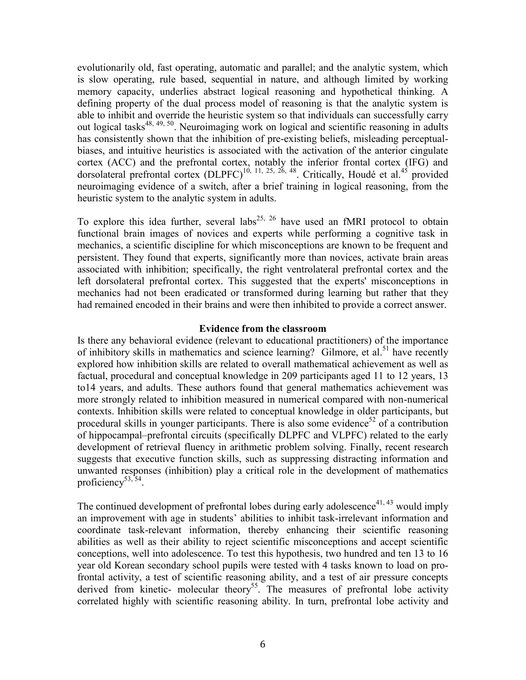evolutionarily old, fast operating, automatic and parallel; and the analytic system, which is slow operating, rule based, sequential in nature, and although limited by working memory capacity, underlies abstract logical reasoning and hypothetical thinking. A defining property of the dual process model of reasoning is that the analytic system is able to inhibit and override the heuristic system so that individuals can successfully carry out logical tasks<sup>48, 49, 50</sup>. Neuroimaging work on logical and scientific reasoning in adults has consistently shown that the inhibition of pre-existing beliefs, misleading perceptualbiases, and intuitive heuristics is associated with the activation of the anterior cingulate cortex (ACC) and the prefrontal cortex, notably the inferior frontal cortex (IFG) and dorsolateral prefrontal cortex  $(DLPFC)^{10, 11, 25, 26, 48}$ . Critically, Houdé et al.<sup>45</sup> provided neuroimaging evidence of a switch, after a brief training in logical reasoning, from the heuristic system to the analytic system in adults.

To explore this idea further, several labs<sup>25, 26</sup> have used an fMRI protocol to obtain functional brain images of novices and experts while performing a cognitive task in mechanics, a scientific discipline for which misconceptions are known to be frequent and persistent. They found that experts, significantly more than novices, activate brain areas associated with inhibition; specifically, the right ventrolateral prefrontal cortex and the left dorsolateral prefrontal cortex. This suggested that the experts' misconceptions in mechanics had not been eradicated or transformed during learning but rather that they had remained encoded in their brains and were then inhibited to provide a correct answer.

## **Evidence from the classroom**

Is there any behavioral evidence (relevant to educational practitioners) of the importance of inhibitory skills in mathematics and science learning? Gilmore, et al.<sup>51</sup> have recently explored how inhibition skills are related to overall mathematical achievement as well as factual, procedural and conceptual knowledge in 209 participants aged 11 to 12 years, 13 to14 years, and adults. These authors found that general mathematics achievement was more strongly related to inhibition measured in numerical compared with non-numerical contexts. Inhibition skills were related to conceptual knowledge in older participants, but procedural skills in younger participants. There is also some evidence<sup>52</sup> of a contribution of hippocampal–prefrontal circuits (specifically DLPFC and VLPFC) related to the early development of retrieval fluency in arithmetic problem solving. Finally, recent research suggests that executive function skills, such as suppressing distracting information and unwanted responses (inhibition) play a critical role in the development of mathematics proficiency<sup>53,54</sup>.

The continued development of prefrontal lobes during early adolescence<sup>41, 43</sup> would imply an improvement with age in students' abilities to inhibit task-irrelevant information and coordinate task-relevant information, thereby enhancing their scientific reasoning abilities as well as their ability to reject scientific misconceptions and accept scientific conceptions, well into adolescence. To test this hypothesis, two hundred and ten 13 to 16 year old Korean secondary school pupils were tested with 4 tasks known to load on profrontal activity, a test of scientific reasoning ability, and a test of air pressure concepts derived from kinetic- molecular theory<sup>55</sup>. The measures of prefrontal lobe activity correlated highly with scientific reasoning ability. In turn, prefrontal lobe activity and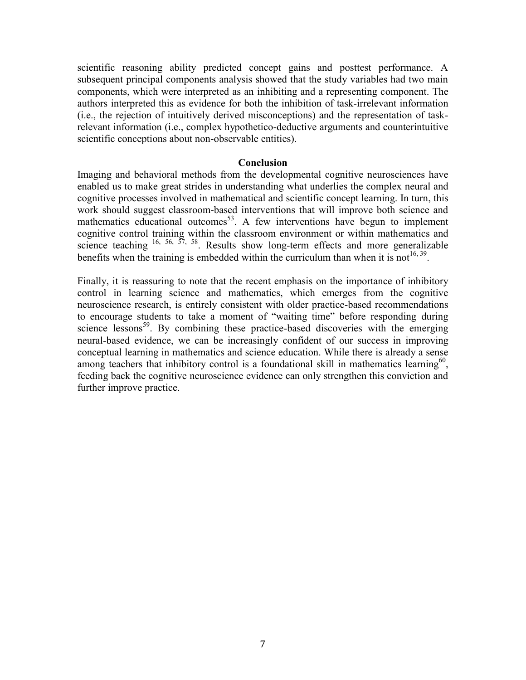scientific reasoning ability predicted concept gains and posttest performance. A subsequent principal components analysis showed that the study variables had two main components, which were interpreted as an inhibiting and a representing component. The authors interpreted this as evidence for both the inhibition of task-irrelevant information (i.e., the rejection of intuitively derived misconceptions) and the representation of taskrelevant information (i.e., complex hypothetico-deductive arguments and counterintuitive scientific conceptions about non-observable entities).

#### **Conclusion**

Imaging and behavioral methods from the developmental cognitive neurosciences have enabled us to make great strides in understanding what underlies the complex neural and cognitive processes involved in mathematical and scientific concept learning. In turn, this work should suggest classroom-based interventions that will improve both science and mathematics educational outcomes<sup>53</sup>. A few interventions have begun to implement cognitive control training within the classroom environment or within mathematics and science teaching  $16, 56, 57, 58$ . Results show long-term effects and more generalizable benefits when the training is embedded within the curriculum than when it is not<sup>16, 39</sup>.

Finally, it is reassuring to note that the recent emphasis on the importance of inhibitory control in learning science and mathematics, which emerges from the cognitive neuroscience research, is entirely consistent with older practice-based recommendations to encourage students to take a moment of "waiting time" before responding during science lessons<sup>59</sup>. By combining these practice-based discoveries with the emerging neural-based evidence, we can be increasingly confident of our success in improving conceptual learning in mathematics and science education. While there is already a sense among teachers that inhibitory control is a foundational skill in mathematics learning<sup>60</sup>, feeding back the cognitive neuroscience evidence can only strengthen this conviction and further improve practice.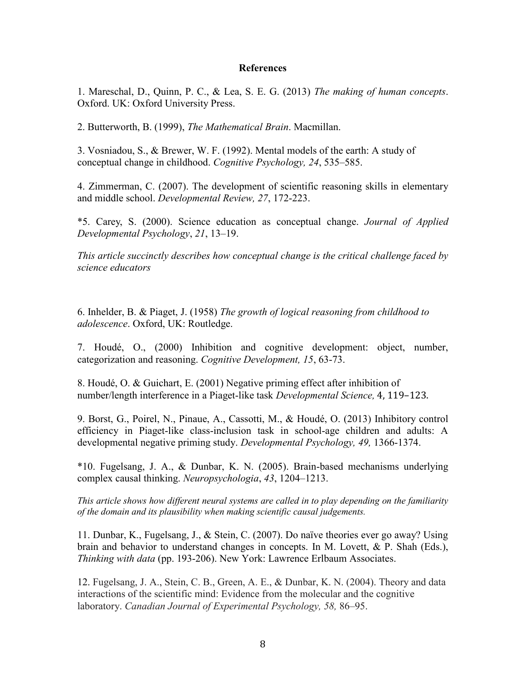#### **References**

1. Mareschal, D., Quinn, P. C., & Lea, S. E. G. (2013) *The making of human concepts*. Oxford. UK: Oxford University Press.

2. Butterworth, B. (1999), *The Mathematical Brain*. Macmillan.

3. Vosniadou, S., & Brewer, W. F. (1992). Mental models of the earth: A study of conceptual change in childhood. *Cognitive Psychology, 24*, 535–585.

4. Zimmerman, C. (2007). The development of scientific reasoning skills in elementary and middle school. *Developmental Review, 27*, 172-223.

\*5. Carey, S. (2000). Science education as conceptual change. *Journal of Applied Developmental Psychology*, *21*, 13–19.

*This article succinctly describes how conceptual change is the critical challenge faced by science educators*

6. Inhelder, B. & Piaget, J. (1958) *The growth of logical reasoning from childhood to adolescence*. Oxford, UK: Routledge.

7. Houdé, O., (2000) Inhibition and cognitive development: object, number, categorization and reasoning. *Cognitive Development, 15*, 63-73.

8. Houdé, O. & Guichart, E. (2001) Negative priming effect after inhibition of number/length interference in a Piaget-like task *Developmental Science,* 4, 119–123.

9. Borst, G., Poirel, N., Pinaue, A., Cassotti, M., & Houdé, O. (2013) Inhibitory control efficiency in Piaget-like class-inclusion task in school-age children and adults: A developmental negative priming study. *Developmental Psychology, 49,* 1366-1374.

\*10. Fugelsang, J. A., & Dunbar, K. N. (2005). Brain-based mechanisms underlying complex causal thinking. *Neuropsychologia*, *43*, 1204–1213.

*This article shows how different neural systems are called in to play depending on the familiarity of the domain and its plausibility when making scientific causal judgements.*

11. Dunbar, K., Fugelsang, J., & Stein, C. (2007). Do naïve theories ever go away? Using brain and behavior to understand changes in concepts. In M. Lovett, & P. Shah (Eds.), *Thinking with data* (pp. 193-206). New York: Lawrence Erlbaum Associates.

12. Fugelsang, J. A., Stein, C. B., Green, A. E., & Dunbar, K. N. (2004). Theory and data interactions of the scientific mind: Evidence from the molecular and the cognitive laboratory. *Canadian Journal of Experimental Psychology, 58,* 86–95.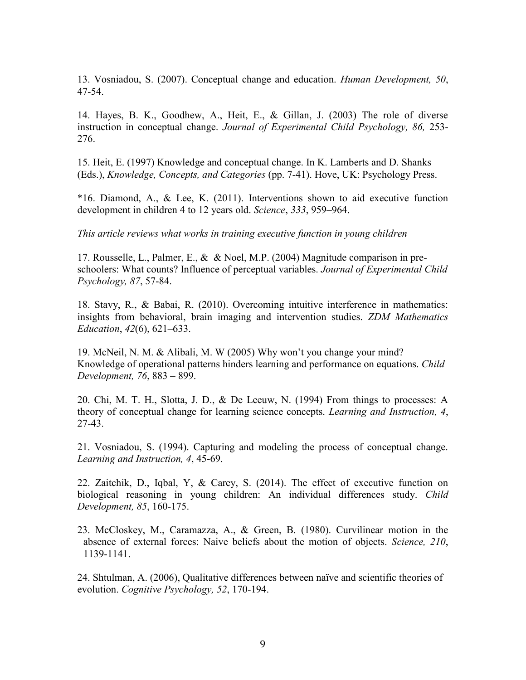13. Vosniadou, S. (2007). Conceptual change and education. *Human Development, 50*, 47-54.

14. Hayes, B. K., Goodhew, A., Heit, E., & Gillan, J. (2003) The role of diverse instruction in conceptual change. *Journal of Experimental Child Psychology, 86,* 253- 276.

15. Heit, E. (1997) Knowledge and conceptual change. In K. Lamberts and D. Shanks (Eds.), *Knowledge, Concepts, and Categories* (pp. 7-41). Hove, UK: Psychology Press.

\*16. Diamond, A., & Lee, K. (2011). Interventions shown to aid executive function development in children 4 to 12 years old. *Science*, *333*, 959–964.

*This article reviews what works in training executive function in young children*

17. Rousselle, L., Palmer, E., & & Noel, M.P. (2004) Magnitude comparison in preschoolers: What counts? Influence of perceptual variables. *Journal of Experimental Child Psychology, 87*, 57-84.

18. Stavy, R., & Babai, R. (2010). Overcoming intuitive interference in mathematics: insights from behavioral, brain imaging and intervention studies. *ZDM Mathematics Education*, *42*(6), 621–633.

19. McNeil, N. M. & Alibali, M. W (2005) Why won't you change your mind? Knowledge of operational patterns hinders learning and performance on equations. *Child Development, 76*, 883 – 899.

20. Chi, M. T. H., Slotta, J. D., & De Leeuw, N. (1994) From things to processes: A theory of conceptual change for learning science concepts. *Learning and Instruction, 4*, 27-43.

21. Vosniadou, S. (1994). Capturing and modeling the process of conceptual change. *Learning and Instruction, 4*, 45-69.

22. Zaitchik, D., Iqbal, Y, & Carey, S. (2014). The effect of executive function on biological reasoning in young children: An individual differences study. *Child Development, 85*, 160-175.

23. McCloskey, M., Caramazza, A., & Green, B. (1980). Curvilinear motion in the absence of external forces: Naive beliefs about the motion of objects. *Science, 210*, 1139-1141.

24. Shtulman, A. (2006), Qualitative differences between naïve and scientific theories of evolution. *Cognitive Psychology, 52*, 170-194.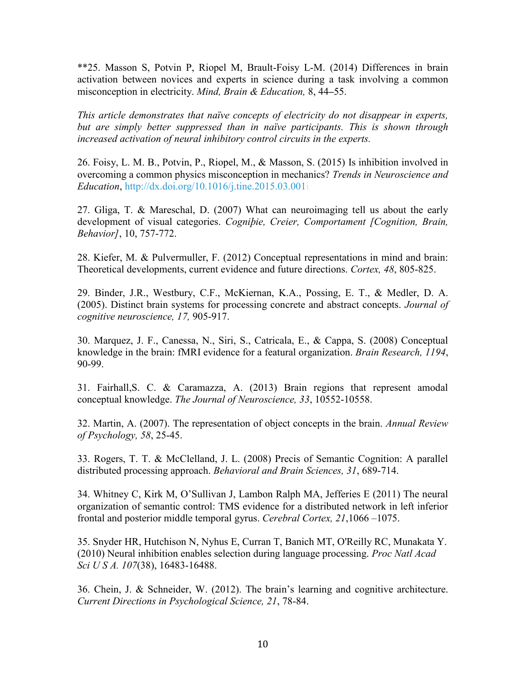\*\*25. Masson S, Potvin P, Riopel M, Brault-Foisy L-M. (2014) Differences in brain activation between novices and experts in science during a task involving a common misconception in electricity. *Mind, Brain & Education,* 8, 44**–**55.

*This article demonstrates that naïve concepts of electricity do not disappear in experts,*  but are simply better suppressed than in naïve participants. This is shown through *increased activation of neural inhibitory control circuits in the experts.*

26. Foisy, L. M. B., Potvin, P., Riopel, M., & Masson, S. (2015) Is inhibition involved in overcoming a common physics misconception in mechanics? *Trends in Neuroscience and Education*, http://dx.doi.org/10.1016/j.tine.2015.03.001i

27. Gliga, T. & Mareschal, D. (2007) What can neuroimaging tell us about the early development of visual categories. *Cogniþie, Creier, Comportament [Cognition, Brain, Behavior]*, 10, 757-772.

28. Kiefer, M. & Pulvermuller, F. (2012) Conceptual representations in mind and brain: Theoretical developments, current evidence and future directions. *Cortex, 48*, 805-825.

29. Binder, J.R., Westbury, C.F., McKiernan, K.A., Possing, E. T., & Medler, D. A. (2005). Distinct brain systems for processing concrete and abstract concepts. *Journal of cognitive neuroscience, 17,* 905-917.

30. Marquez, J. F., Canessa, N., Siri, S., Catricala, E., & Cappa, S. (2008) Conceptual knowledge in the brain: fMRI evidence for a featural organization. *Brain Research, 1194*, 90-99.

31. Fairhall,S. C. & Caramazza, A. (2013) Brain regions that represent amodal conceptual knowledge. *The Journal of Neuroscience, 33*, 10552-10558.

32. Martin, A. (2007). The representation of object concepts in the brain. *Annual Review of Psychology, 58*, 25-45.

33. Rogers, T. T. & McClelland, J. L. (2008) Precis of Semantic Cognition: A parallel distributed processing approach. *Behavioral and Brain Sciences, 31*, 689-714.

34. Whitney C, Kirk M, O'Sullivan J, Lambon Ralph MA, Jefferies E (2011) The neural organization of semantic control: TMS evidence for a distributed network in left inferior frontal and posterior middle temporal gyrus. *Cerebral Cortex, 21*,1066 –1075.

35. Snyder HR, Hutchison N, Nyhus E, Curran T, Banich MT, O'Reilly RC, Munakata Y. (2010) Neural inhibition enables selection during language processing. *Proc Natl Acad Sci U S A. 107*(38), 16483-16488.

36. Chein, J. & Schneider, W. (2012). The brain's learning and cognitive architecture. *Current Directions in Psychological Science, 21*, 78-84.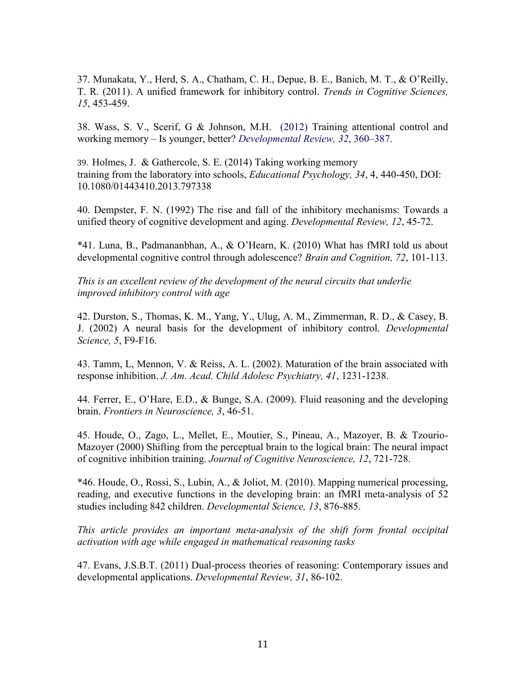37. Munakata, Y., Herd, S. A., Chatham, C. H., Depue, B. E., Banich, M. T., & O'Reilly, T. R. (2011). A unified framework for inhibitory control. *Trends in Cognitive Sciences, 15*, 453-459.

38. Wass, S. V., Scerif, G & Johnson, M.H. (2012) Training attentional control and working memory – Is younger, better? *Developmental Review, 32*, 360–387.

39. Holmes, J. & Gathercole, S. E. (2014) Taking working memory training from the laboratory into schools, *Educational Psychology, 34*, 4, 440-450, DOI: 10.1080/01443410.2013.797338

40. Dempster, F. N. (1992) The rise and fall of the inhibitory mechanisms: Towards a unified theory of cognitive development and aging. *Developmental Review, 12*, 45-72.

\*41. Luna, B., Padmananbhan, A., & O'Hearn, K. (2010) What has fMRI told us about developmental cognitive control through adolescence? *Brain and Cognition, 72*, 101-113.

*This is an excellent review of the development of the neural circuits that underlie improved inhibitory control with age*

42. Durston, S., Thomas, K. M., Yang, Y., Ulug, A. M., Zimmerman, R. D., & Casey, B. J. (2002) A neural basis for the development of inhibitory control. *Developmental Science, 5*, F9-F16.

43. Tamm, L, Mennon, V. & Reiss, A. L. (2002). Maturation of the brain associated with response inhibition. *J. Am. Acad. Child Adolesc Psychiatry, 41*, 1231-1238.

44. Ferrer, E., O'Hare, E.D., & Bunge, S.A. (2009). Fluid reasoning and the developing brain. *Frontiers in Neuroscience, 3*, 46-51.

45. Houde, O., Zago, L., Mellet, E., Moutier, S., Pineau, A., Mazoyer, B. & Tzourio-Mazoyer (2000) Shifting from the perceptual brain to the logical brain: The neural impact of cognitive inhibition training. *Journal of Cognitive Neuroscience, 12*, 721-728.

\*46. Houde, O., Rossi, S., Lubin, A., & Joliot, M. (2010). Mapping numerical processing, reading, and executive functions in the developing brain: an fMRI meta-analysis of 52 studies including 842 children. *Developmental Science, 13*, 876-885.

*This article provides an important meta-analysis of the shift form frontal occipital activation with age while engaged in mathematical reasoning tasks*

47. Evans, J.S.B.T. (2011) Dual-process theories of reasoning: Contemporary issues and developmental applications. *Developmental Review, 31*, 86-102.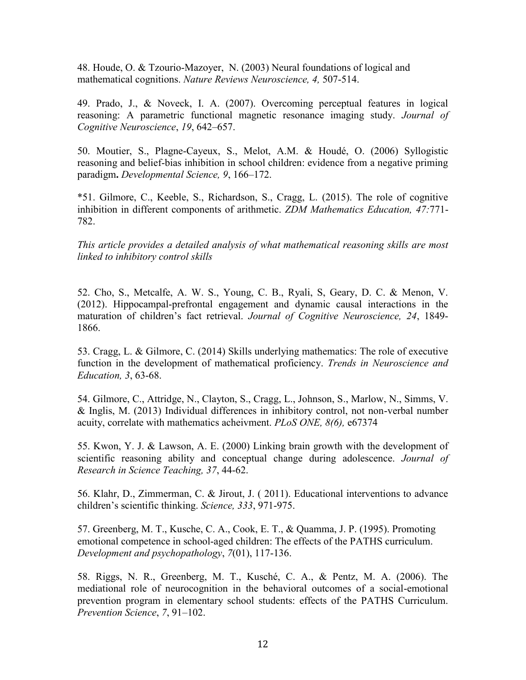48. Houde, O. & Tzourio-Mazoyer, N. (2003) Neural foundations of logical and mathematical cognitions. *Nature Reviews Neuroscience, 4,* 507-514.

49. Prado, J., & Noveck, I. A. (2007). Overcoming perceptual features in logical reasoning: A parametric functional magnetic resonance imaging study. *Journal of Cognitive Neuroscience*, *19*, 642–657.

50. Moutier, S., Plagne-Cayeux, S., Melot, A.M. & Houdé, O. (2006) Syllogistic reasoning and belief-bias inhibition in school children: evidence from a negative priming paradigm**.** *Developmental Science, 9*, 166–172.

\*51. Gilmore, C., Keeble, S., Richardson, S., Cragg, L. (2015). The role of cognitive inhibition in different components of arithmetic. *ZDM Mathematics Education, 47:*771- 782.

*This article provides a detailed analysis of what mathematical reasoning skills are most linked to inhibitory control skills*

52. Cho, S., Metcalfe, A. W. S., Young, C. B., Ryali, S, Geary, D. C. & Menon, V. (2012). Hippocampal-prefrontal engagement and dynamic causal interactions in the maturation of children's fact retrieval. *Journal of Cognitive Neuroscience, 24*, 1849- 1866.

53. Cragg, L. & Gilmore, C. (2014) Skills underlying mathematics: The role of executive function in the development of mathematical proficiency. *Trends in Neuroscience and Education, 3*, 63-68.

54. Gilmore, C., Attridge, N., Clayton, S., Cragg, L., Johnson, S., Marlow, N., Simms, V. & Inglis, M. (2013) Individual differences in inhibitory control, not non-verbal number acuity, correlate with mathematics acheivment. *PLoS ONE, 8(6),* e67374

55. Kwon, Y. J. & Lawson, A. E. (2000) Linking brain growth with the development of scientific reasoning ability and conceptual change during adolescence. *Journal of Research in Science Teaching, 37*, 44-62.

56. Klahr, D., Zimmerman, C. & Jirout, J. ( 2011). Educational interventions to advance children's scientific thinking. *Science, 333*, 971-975.

57. Greenberg, M. T., Kusche, C. A., Cook, E. T., & Quamma, J. P. (1995). Promoting emotional competence in school-aged children: The effects of the PATHS curriculum. *Development and psychopathology*, *7*(01), 117-136.

58. Riggs, N. R., Greenberg, M. T., Kusché, C. A., & Pentz, M. A. (2006). The mediational role of neurocognition in the behavioral outcomes of a social-emotional prevention program in elementary school students: effects of the PATHS Curriculum. *Prevention Science*, *7*, 91–102.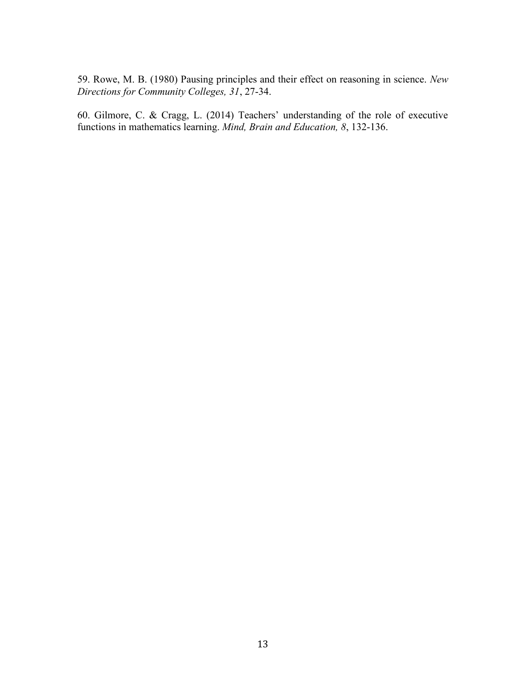59. Rowe, M. B. (1980) Pausing principles and their effect on reasoning in science. *New Directions for Community Colleges, 31*, 27-34.

60. Gilmore, C. & Cragg, L. (2014) Teachers' understanding of the role of executive functions in mathematics learning. *Mind, Brain and Education, 8*, 132-136.